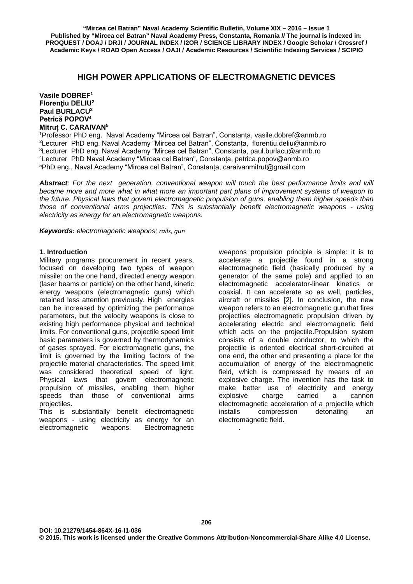# **HIGH POWER APPLICATIONS OF ELECTROMAGNETIC DEVICES**

**Vasile DOBREF1 Florenţiu DELIU<sup>2</sup> Paul BURLACU3 Petrică POPOV<sup>4</sup> Mitruț C. CARAIVAN<sup>5</sup>**

1Professor PhD eng. Naval Academy "Mircea cel Batran", Constanța, [vasile.dobref@anmb.ro](mailto:vasile.dobref@anmb.ro) 2Lecturer PhD eng. Naval Academy "Mircea cel Batran", Constanța, [florentiu.deliu@anmb.ro](mailto:florentiu.deliu@anmb.ro) 3Lecturer PhD eng. Naval Academy "Mircea cel Batran", Constanța, [paul.burlacu@anmb.ro](mailto:paul.burlacu@anmb.ro) 4Lecturer PhD Naval Academy "Mircea cel Batran", Constanța, [petrica.popov@anmb.ro](mailto:petrica.popov@anmb.ro) 5PhD eng., Naval Academy "Mircea cel Batran", Constanța, caraivanmitrut@gmail.com

*Abstract: For the next generation, conventional weapon will touch the best performance limits and will became more and more what in what more an important part plans of improvement systems of weapon to the future. Physical laws that govern electromagnetic propulsion of guns, enabling them higher speeds than those of conventional arms projectiles. This is substantially benefit electromagnetic weapons - using electricity as energy for an electromagnetic weapons.*

*Keywords: electromagnetic weapons; rails, gun*

### **1. Introduction**

Military programs procurement in recent years, focused on developing two types of weapon missile: on the one hand, directed energy weapon (laser beams or particle) on the other hand, kinetic energy weapons (electromagnetic guns) which retained less attention previously. High energies can be increased by optimizing the performance parameters, but the velocity weapons is close to existing high performance physical and technical limits. For conventional guns, projectile speed limit basic parameters is governed by thermodynamics of gases sprayed. For electromagnetic guns, the limit is governed by the limiting factors of the projectile material characteristics. The speed limit was considered theoretical speed of light. Physical laws that govern electromagnetic propulsion of missiles, enabling them higher speeds than those of conventional arms projectiles.

This is substantially benefit electromagnetic weapons - using electricity as energy for an electromagnetic weapons. Electromagnetic

weapons propulsion principle is simple: it is to accelerate a projectile found in a strong electromagnetic field (basically produced by a generator of the same pole) and applied to an electromagnetic accelerator-linear kinetics or coaxial. It can accelerate so as well, particles, aircraft or missiles [2]. In conclusion, the new weapon refers to an electromagnetic gun, that fires projectiles electromagnetic propulsion driven by accelerating electric and electromagnetic field which acts on the projectile.Propulsion system consists of a double conductor, to which the projectile is oriented electrical short-circuited at one end, the other end presenting a place for the accumulation of energy of the electromagnetic field, which is compressed by means of an explosive charge. The invention has the task to make better use of electricity and energy explosive charge carried a cannon electromagnetic acceleration of a projectile which installs compression detonating an electromagnetic field.

.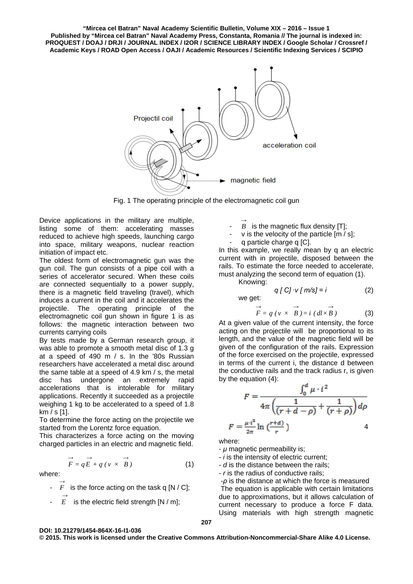**"Mircea cel Batran" Naval Academy Scientific Bulletin, Volume XIX – 2016 – Issue 1 Published by "Mircea cel Batran" Naval Academy Press, Constanta, Romania // The journal is indexed in: PROQUEST / DOAJ / DRJI / JOURNAL INDEX / I2OR / SCIENCE LIBRARY INDEX / Google Scholar / Crossref / Academic Keys / ROAD Open Access / OAJI / Academic Resources / Scientific Indexing Services / SCIPIO**



Fig. 1 The operating principle of the electromagnetic coil gun

Device applications in the military are multiple, listing some of them: accelerating masses reduced to achieve high speeds, launching cargo into space, military weapons, nuclear reaction initiation of impact etc.

The oldest form of electromagnetic gun was the gun coil. The gun consists of a pipe coil with a series of accelerator secured. When these coils are connected sequentially to a power supply, there is a magnetic field traveling (travel), which induces a current in the coil and it accelerates the projectile. The operating principle of the electromagnetic coil gun shown in figure 1 is as follows: the magnetic interaction between two currents carrying coils

By tests made by a German research group, it was able to promote a smooth metal disc of 1.3 g at a speed of 490 m / s. In the '80s Russian researchers have accelerated a metal disc around the same table at a speed of 4.9 km / s, the metal disc has undergone an extremely rapid accelerations that is intolerable for military applications. Recently it succeeded as a projectile weighing 1 kg to be accelerated to a speed of 1.8 km / s [1].

To determine the force acting on the projectile we started from the Lorentz force equation.

This characterizes a force acting on the moving charged particles in an electric and magnetic field.

$$
\overrightarrow{F} = q\overrightarrow{E} + q\left(v \times \overrightarrow{B}\right)
$$
 (1)

where:

- $\vec{F}$ *F* is the force acting on the task q  $[N / C]$ ;
	- $E$ is the electric field strength [N / m];
- $\overrightarrow{B}$  is the magnetic flux density [T];
	-
	- $v$  is the velocity of the particle  $[m / s]$ ;
	- q particle charge q [C].

In this example, we really mean by q an electric current with in projectile, disposed between the rails. To estimate the force needed to accelerate, must analyzing the second term of equation (1). Kno

owing:  
q 
$$
\lbrack C \rbrack \cdot v \lbrack m/s \rbrack = i
$$
 (2)

we get:

$$
\overrightarrow{F} = q \ (v \times \overrightarrow{B}) = i \ (dl \times \overrightarrow{B})
$$
 (3)

At a given value of the current intensity, the force acting on the projectile will be proportional to its length, and the value of the magnetic field will be given of the configuration of the rails. Expression of the force exercised on the projectile, expressed in terms of the current i, the distance d between the conductive rails and the track radius r, is given by the equation (4):

$$
F = \frac{\int_0^d \mu \cdot i^2}{4\pi \left(\frac{1}{(r+d-\rho)} + \frac{1}{(r+\rho)}\right) d\rho}
$$

$$
F = \frac{\mu \cdot i^2}{2\pi} \ln \left(\frac{r+d}{r}\right) \qquad 4
$$

where:

- *μ* magnetic permeability is;

- *- i* is the intensity of electric current;
- *- d* is the distance between the rails;
- *r* is the radius of conductive rails;

-*ρ* is the distance at which the force is measured The equation is applicable with certain limitations due to approximations, but it allows calculation of current necessary to produce a force F data. Using materials with high strength magnetic

#### **DOI: 10.21279/1454-864X-16-I1-036**

**© 2015. This work is licensed under the Creative Commons Attribution-Noncommercial-Share Alike 4.0 License.**

# **207**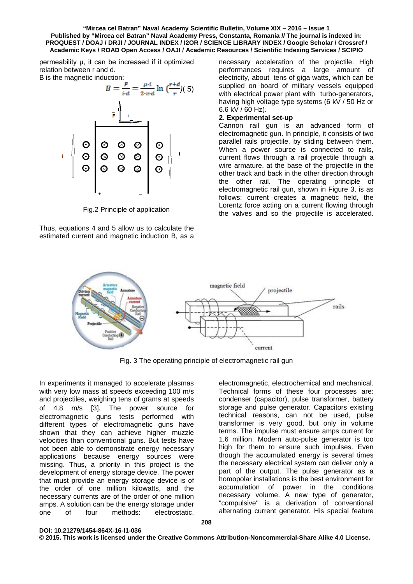#### **"Mircea cel Batran" Naval Academy Scientific Bulletin, Volume XIX – 2016 – Issue 1 Published by "Mircea cel Batran" Naval Academy Press, Constanta, Romania // The journal is indexed in: PROQUEST / DOAJ / DRJI / JOURNAL INDEX / I2OR / SCIENCE LIBRARY INDEX / Google Scholar / Crossref / Academic Keys / ROAD Open Access / OAJI / Academic Resources / Scientific Indexing Services / SCIPIO**

permeability μ, it can be increased if it optimized relation between r and d. B is the magnetic induction:



Fig.2 Principle of application

Thus, equations 4 and 5 allow us to calculate the estimated current and magnetic induction B, as a necessary acceleration of the projectile. High performances requires a large amount of electricity, about tens of giga watts, which can be supplied on board of military vessels equipped with electrical power plant with turbo-generators, having high voltage type systems (6 kV / 50 Hz or 6.6 kV / 60 Hz).

# **2. Experimental set-up**

Cannon rail gun is an advanced form of electromagnetic gun. In principle, it consists of two parallel rails projectile, by sliding between them. When a power source is connected to rails, current flows through a rail projectile through a wire armature, at the base of the projectile in the other track and back in the other direction through the other rail. The operating principle of electromagnetic rail gun, shown in Figure 3, is as follows: current creates a magnetic field, the Lorentz force acting on a current flowing through the valves and so the projectile is accelerated.



Fig. 3 The operating principle of electromagnetic rail gun

In experiments it managed to accelerate plasmas with very low mass at speeds exceeding 100 m/s and projectiles, weighing tens of grams at speeds of 4.8 m/s [3]. The power source for electromagnetic guns tests performed with different types of electromagnetic guns have shown that they can achieve higher muzzle velocities than conventional guns. But tests have not been able to demonstrate energy necessary applications because energy sources were missing. Thus, a priority in this project is the development of energy storage device. The power that must provide an energy storage device is of the order of one million kilowatts, and the necessary currents are of the order of one million amps. A solution can be the energy storage under one of four methods: electrostatic,

**DOI: 10.21279/1454-864X-16-I1-036**

Technical forms of these four processes are: condenser (capacitor), pulse transformer, battery storage and pulse generator. Capacitors existing technical reasons, can not be used, pulse transformer is very good, but only in volume terms. The impulse must ensure amps current for 1.6 million. Modern auto-pulse generator is too high for them to ensure such impulses. Even though the accumulated energy is several times the necessary electrical system can deliver only a part of the output. The pulse generator as a homopolar installations is the best environment for accumulation of power in the conditions necessary volume. A new type of generator, "compulsive" is a derivation of conventional alternating current generator. His special feature

electromagnetic, electrochemical and mechanical.

**© 2015. This work is licensed under the Creative Commons Attribution-Noncommercial-Share Alike 4.0 License.**